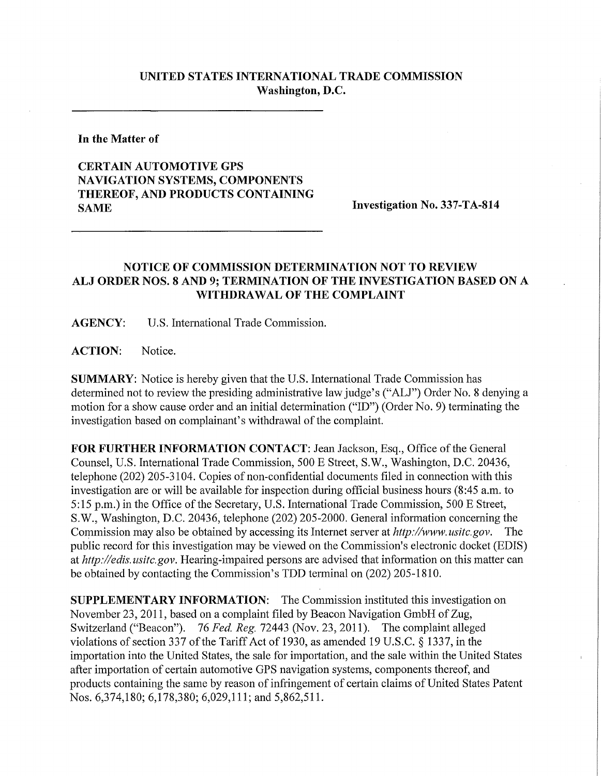## **UNITED STATES INTERNATIONAL TRADE COMMISSION Washington, D.C.**

**In the Matter of** 

## **CERTAIN AUTOMOTIVE GPS NAVIGATION SYSTEMS, COMPONENTS THEREOF, AND PRODUCTS CONTAINING SAME** Investigation No. 337-TA-814

## **NOTICE OF COMMISSION DETERMINATION NOT TO REVIEW A L J ORDER NOS. 8 AND 9; TERMINATION OF THE INVESTIGATION BASED ON A WITHDRAWAL OF THE COMPLAINT**

**AGENCY:** U.S. International Trade Commission.

**ACTION:** Notice.

**SUMMARY:** Notice is hereby given that the U.S. International Trade Commission has determined not to review the presiding administrative law judge's ("ALJ") Order No. 8 denying a motion for a show cause order and an initial determination ("ID") (Order No. 9) terminating the investigation based on complainant's withdrawal of the complaint.

FOR FURTHER INFORMATION CONTACT: Jean Jackson, Esq., Office of the General Counsel, U.S. International Trade Commission, 500 E Street, S.W., Washington, D.C. 20436, telephone (202) 205-3104. Copies of non-confidential documents filed in connection with this investigation are or will be available for inspection during official business hours (8:45 a.m. to 5:15 p.m.) in the Office of the Secretary, U.S. International Trade Commission, 500 E Street, S.W., Washington, D.C. 20436, telephone (202) 205-2000. General infonnation concerning the Commission may also be obtained by accessing its Internet server at *http://www. nsitc.gov.* The public record for this investigation may be viewed on the Commission's electronic docket (EDIS) at *http://edis.usitc.gov.* Hearing-impaired persons are advised that information on this matter can be obtained by contacting the Commission's TDD terminal on (202) 205-1810.

**SUPPLEMENTARY INFORMATION:** The Commission instituted this investigation on November 23, 2011, based on a complaint filed by Beacon Navigation GmbH of Zug, Switzerland ("Beacon"). 76 *Fed. Reg.* 72443 (Nov. 23, 2011). The complaint alleged violations of section 337 of the Tariff Act of 1930, as amended 19 U.S.C. § 1337, in the importation into the United States, the sale for importation, and the sale within the United States after importation of certain automotive GPS navigation systems, components thereof, and products containing the same by reason of infringement of certain claims of United States Patent Nos. 6,374,180; 6,178,380; 6,029,111; and 5,862,511.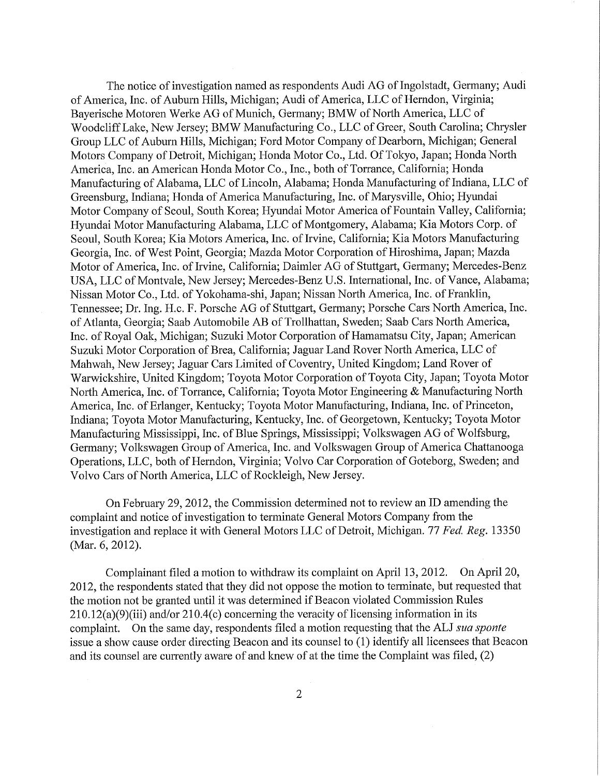The notice of investigation named as respondents Audi AG of Ingolstadt, Germany; Audi of America, Inc. of Auburn Hills, Michigan; Audi of America, LLC of Herndon, Virginia; Bayerische Motoren Werke AG of Munich, Germany; BMW of North America, LLC of Woodcliff Lake, New Jersey; BMW Manufacturing Co., LLC of Greer, South Carolina; Chrysler Group LLC of Auburn Hills, Michigan; Ford Motor Company of Dearborn, Michigan; General Motors Company of Detroit, Michigan; Honda Motor Co., Ltd. Of Tokyo, Japan; Honda North America, Inc. an American Honda Motor Co., Inc., both of Torrance, Califomia; Honda Manufacturing of Alabama, LLC of Lincoln, Alabama; Honda Manufacturing of Indiana, LLC of Greensburg, Indiana; Honda of America Manufacturing, Inc. of Marysville, Ohio; Hyundai Motor Company of Seoul, South Korea; Hyundai Motor America of Fountain Valley, Califomia; Hyundai Motor Manufacturing Alabama, LLC of Montgomery, Alabama; Kia Motors Corp. of Seoul, South Korea; Kia Motors America, Inc. of Irvine, Califomia; Kia Motors Manufacturing Georgia, Inc. of West Point, Georgia; Mazda Motor Corporation of Hiroshima, Japan; Mazda Motor of America, Inc. of Irvine, Califomia; Daimler AG of Stuttgart, Germany; Mercedes-Benz USA, LLC of Montvale, New Jersey; Mercedes-Benz U.S. International, Inc. of Vance, Alabama; Nissan Motor Co., Ltd. of Yokohama-shi, Japan; Nissan North America, Inc. of Franklin, Tennessee; Dr. Ing. H.c. F. Porsche AG of Stuttgart, Germany; Porsche Cars North America, Inc. of Atlanta, Georgia; Saab Automobile AB of Trollhattan, Sweden; Saab Cars North America, Inc. of Royal Oak, Michigan; Suzuki Motor Corporation of Hamamatsu City, Japan; American Suzuki Motor Corporation of Brea, California; Jaguar Land Rover North America, LLC of Mahwah, New Jersey; Jaguar Cars Limited of Coventry, United Kingdom; Land Rover of Warwickshire, United Kingdom; Toyota Motor Corporation of Toyota City, Japan; Toyota Motor North America, Inc. of Torrance, California; Toyota Motor Engineering & Manufacturing North America, Inc. of Erlanger, Kentucky; Toyota Motor Manufacturing, Indiana, Inc. of Princeton, Indiana; Toyota Motor Manufacturing, Kentucky, Inc. of Georgetown, Kentucky; Toyota Motor Manufacturing Mississippi, Inc. of Blue Springs, Mississippi; Volkswagen AG of Wolfsburg, Germany; Volkswagen Group of America, Inc. and Volkswagen Group of America Chattanooga Operations, LLC, both of Herndon, Virginia; Volvo Car Corporation of Goteborg, Sweden; and Volvo Cars of North America, LLC of Rockleigh, New Jersey.

On February 29, 2012, the Commission determined not to review an ID amending the complaint and notice of investigation to terminate General Motors Company from the investigation and replace it with General Motors LLC of Detroit, Michigan. 77 *Fed. Reg.* 13350 (Mar. 6, 2012).

Complainant filed a motion to withdraw its complaint on April 13, 2012. On April 20, 2012, the respondents stated that they did not oppose the motion to terminate, but requested that the motion not be granted until it was determined if Beacon violated Commission Rules 210.12(a)(9)(iii) and/or 210.4(c) concerning the veracity of licensing information in its complaint. On the same day, respondents filed a motion requesting that the ALJ *sua sponte*  issue a show cause order directing Beacon and its counsel to (1) identify all licensees that Beacon and its counsel are currently aware of and knew of at the time the Complaint was filed, (2)